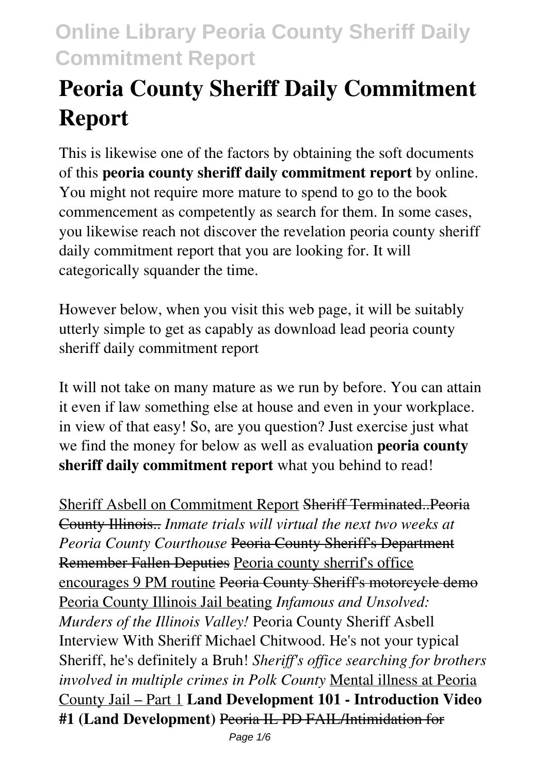# **Peoria County Sheriff Daily Commitment Report**

This is likewise one of the factors by obtaining the soft documents of this **peoria county sheriff daily commitment report** by online. You might not require more mature to spend to go to the book commencement as competently as search for them. In some cases, you likewise reach not discover the revelation peoria county sheriff daily commitment report that you are looking for. It will categorically squander the time.

However below, when you visit this web page, it will be suitably utterly simple to get as capably as download lead peoria county sheriff daily commitment report

It will not take on many mature as we run by before. You can attain it even if law something else at house and even in your workplace. in view of that easy! So, are you question? Just exercise just what we find the money for below as well as evaluation **peoria county sheriff daily commitment report** what you behind to read!

Sheriff Asbell on Commitment Report Sheriff Terminated..Peoria County Illinois.. *Inmate trials will virtual the next two weeks at Peoria County Courthouse* Peoria County Sheriff's Department Remember Fallen Deputies Peoria county sherrif's office encourages 9 PM routine Peoria County Sheriff's motorcycle demo Peoria County Illinois Jail beating *Infamous and Unsolved: Murders of the Illinois Valley!* Peoria County Sheriff Asbell Interview With Sheriff Michael Chitwood. He's not your typical Sheriff, he's definitely a Bruh! *Sheriff's office searching for brothers involved in multiple crimes in Polk County* Mental illness at Peoria County Jail – Part 1 **Land Development 101 - Introduction Video #1 (Land Development)** Peoria IL PD FAIL/Intimidation for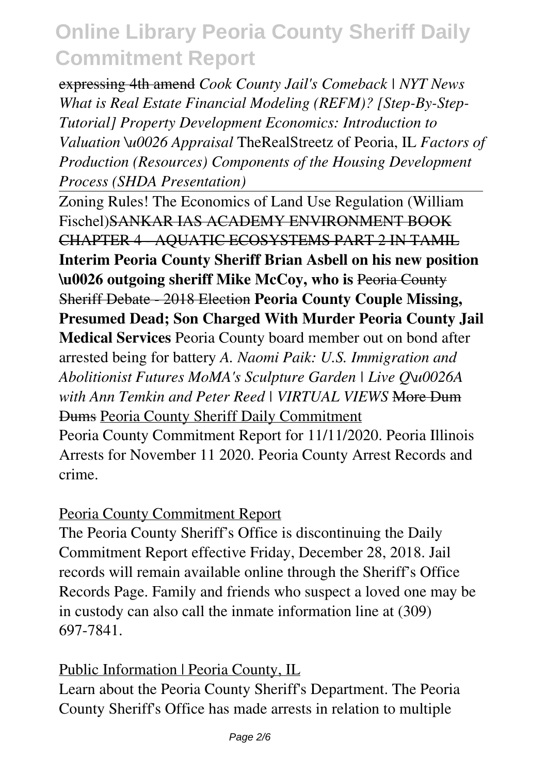expressing 4th amend *Cook County Jail's Comeback | NYT News What is Real Estate Financial Modeling (REFM)? [Step-By-Step-Tutorial] Property Development Economics: Introduction to Valuation \u0026 Appraisal* TheRealStreetz of Peoria, IL *Factors of Production (Resources) Components of the Housing Development Process (SHDA Presentation)*

Zoning Rules! The Economics of Land Use Regulation (William Fischel)SANKAR IAS ACADEMY ENVIRONMENT BOOK CHAPTER 4 - AQUATIC ECOSYSTEMS PART 2 IN TAMIL **Interim Peoria County Sheriff Brian Asbell on his new position \u0026 outgoing sheriff Mike McCoy, who is** Peoria County Sheriff Debate - 2018 Election **Peoria County Couple Missing, Presumed Dead; Son Charged With Murder Peoria County Jail Medical Services** Peoria County board member out on bond after arrested being for battery *A. Naomi Paik: U.S. Immigration and Abolitionist Futures MoMA's Sculpture Garden | Live Q\u0026A with Ann Temkin and Peter Reed | VIRTUAL VIEWS* More Dum Dums Peoria County Sheriff Daily Commitment Peoria County Commitment Report for 11/11/2020. Peoria Illinois Arrests for November 11 2020. Peoria County Arrest Records and

crime.

### Peoria County Commitment Report

The Peoria County Sheriff's Office is discontinuing the Daily Commitment Report effective Friday, December 28, 2018. Jail records will remain available online through the Sheriff's Office Records Page. Family and friends who suspect a loved one may be in custody can also call the inmate information line at (309) 697-7841.

Public Information | Peoria County, IL

Learn about the Peoria County Sheriff's Department. The Peoria County Sheriff's Office has made arrests in relation to multiple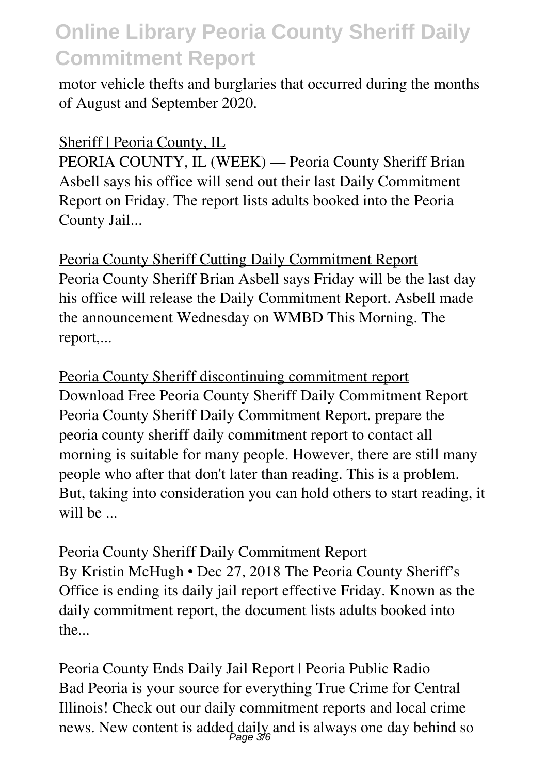motor vehicle thefts and burglaries that occurred during the months of August and September 2020.

### Sheriff | Peoria County, IL

PEORIA COUNTY, IL (WEEK) — Peoria County Sheriff Brian Asbell says his office will send out their last Daily Commitment Report on Friday. The report lists adults booked into the Peoria County Jail...

Peoria County Sheriff Cutting Daily Commitment Report Peoria County Sheriff Brian Asbell says Friday will be the last day his office will release the Daily Commitment Report. Asbell made the announcement Wednesday on WMBD This Morning. The report,...

Peoria County Sheriff discontinuing commitment report Download Free Peoria County Sheriff Daily Commitment Report Peoria County Sheriff Daily Commitment Report. prepare the peoria county sheriff daily commitment report to contact all morning is suitable for many people. However, there are still many people who after that don't later than reading. This is a problem. But, taking into consideration you can hold others to start reading, it will be ...

Peoria County Sheriff Daily Commitment Report By Kristin McHugh • Dec 27, 2018 The Peoria County Sheriff's Office is ending its daily jail report effective Friday. Known as the daily commitment report, the document lists adults booked into the...

Peoria County Ends Daily Jail Report | Peoria Public Radio Bad Peoria is your source for everything True Crime for Central Illinois! Check out our daily commitment reports and local crime news. New content is added daily and is always one day behind so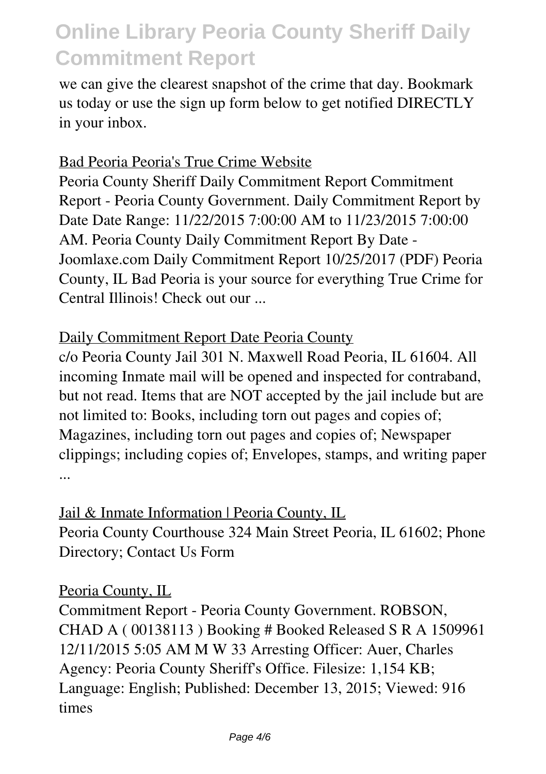we can give the clearest snapshot of the crime that day. Bookmark us today or use the sign up form below to get notified DIRECTLY in your inbox.

#### Bad Peoria Peoria's True Crime Website

Peoria County Sheriff Daily Commitment Report Commitment Report - Peoria County Government. Daily Commitment Report by Date Date Range: 11/22/2015 7:00:00 AM to 11/23/2015 7:00:00 AM. Peoria County Daily Commitment Report By Date - Joomlaxe.com Daily Commitment Report 10/25/2017 (PDF) Peoria County, IL Bad Peoria is your source for everything True Crime for Central Illinois! Check out our ...

#### Daily Commitment Report Date Peoria County

c/o Peoria County Jail 301 N. Maxwell Road Peoria, IL 61604. All incoming Inmate mail will be opened and inspected for contraband, but not read. Items that are NOT accepted by the jail include but are not limited to: Books, including torn out pages and copies of; Magazines, including torn out pages and copies of; Newspaper clippings; including copies of; Envelopes, stamps, and writing paper ...

Jail & Inmate Information | Peoria County, IL Peoria County Courthouse 324 Main Street Peoria, IL 61602; Phone Directory; Contact Us Form

#### Peoria County, IL

Commitment Report - Peoria County Government. ROBSON, CHAD A ( 00138113 ) Booking # Booked Released S R A 1509961 12/11/2015 5:05 AM M W 33 Arresting Officer: Auer, Charles Agency: Peoria County Sheriff's Office. Filesize: 1,154 KB; Language: English; Published: December 13, 2015; Viewed: 916 times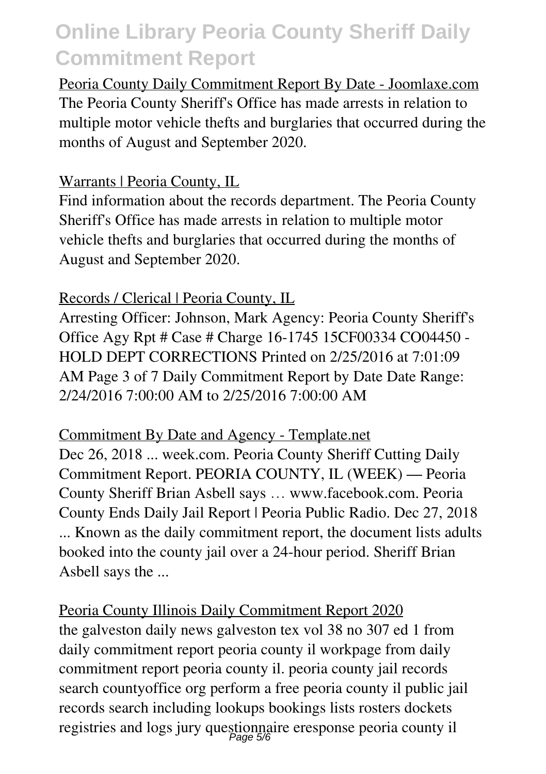Peoria County Daily Commitment Report By Date - Joomlaxe.com The Peoria County Sheriff's Office has made arrests in relation to multiple motor vehicle thefts and burglaries that occurred during the months of August and September 2020.

#### Warrants | Peoria County, IL

Find information about the records department. The Peoria County Sheriff's Office has made arrests in relation to multiple motor vehicle thefts and burglaries that occurred during the months of August and September 2020.

### Records / Clerical | Peoria County, IL

Arresting Officer: Johnson, Mark Agency: Peoria County Sheriff's Office Agy Rpt # Case # Charge 16-1745 15CF00334 CO04450 - HOLD DEPT CORRECTIONS Printed on 2/25/2016 at 7:01:09 AM Page 3 of 7 Daily Commitment Report by Date Date Range: 2/24/2016 7:00:00 AM to 2/25/2016 7:00:00 AM

Commitment By Date and Agency - Template.net Dec 26, 2018 ... week.com. Peoria County Sheriff Cutting Daily Commitment Report. PEORIA COUNTY, IL (WEEK) — Peoria County Sheriff Brian Asbell says … www.facebook.com. Peoria County Ends Daily Jail Report | Peoria Public Radio. Dec 27, 2018 ... Known as the daily commitment report, the document lists adults booked into the county jail over a 24-hour period. Sheriff Brian Asbell says the ...

Peoria County Illinois Daily Commitment Report 2020 the galveston daily news galveston tex vol 38 no 307 ed 1 from daily commitment report peoria county il workpage from daily commitment report peoria county il. peoria county jail records search countyoffice org perform a free peoria county il public jail records search including lookups bookings lists rosters dockets registries and logs jury question paire eresponse peoria county il